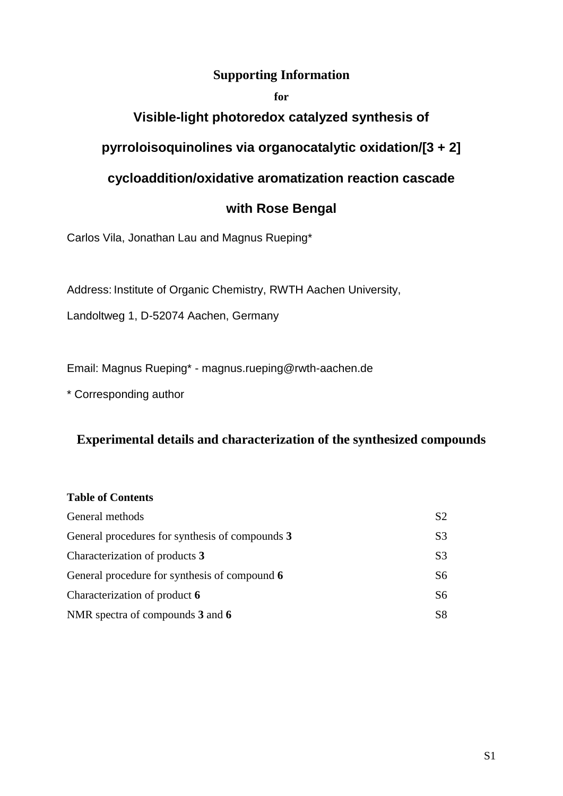### **Supporting Information**

#### **for**

### **Visible-light photoredox catalyzed synthesis of**

### **pyrroloisoquinolines via organocatalytic oxidation/[3 + 2]**

# **cycloaddition/oxidative aromatization reaction cascade**

### **with Rose Bengal**

Carlos Vila, Jonathan Lau and Magnus Rueping\*

Address: Institute of Organic Chemistry, RWTH Aachen University,

Landoltweg 1, D-52074 Aachen, Germany

Email: Magnus Rueping\* - magnus.rueping@rwth-aachen.de

\* Corresponding author

### **Experimental details and characterization of the synthesized compounds**

#### **Table of Contents**

| General methods                                 | S2             |
|-------------------------------------------------|----------------|
| General procedures for synthesis of compounds 3 | S <sub>3</sub> |
| Characterization of products 3                  | S <sub>3</sub> |
| General procedure for synthesis of compound 6   | S6             |
| Characterization of product 6                   | S6             |
| NMR spectra of compounds 3 and 6                | S8             |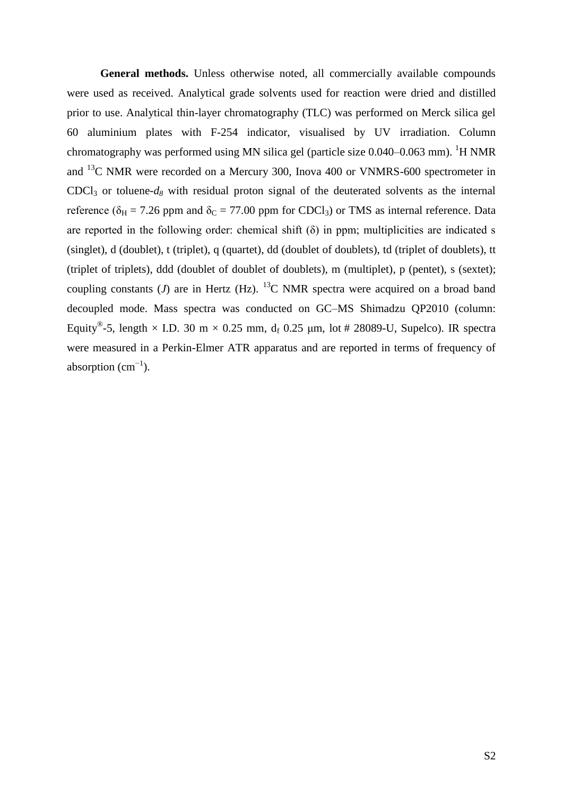**General methods.** Unless otherwise noted, all commercially available compounds were used as received. Analytical grade solvents used for reaction were dried and distilled prior to use. Analytical thin-layer chromatography (TLC) was performed on Merck silica gel 60 aluminium plates with F-254 indicator, visualised by UV irradiation. Column chromatography was performed using MN silica gel (particle size  $0.040-0.063$  mm). <sup>1</sup>H NMR and <sup>13</sup>C NMR were recorded on a Mercury 300, Inova 400 or VNMRS-600 spectrometer in  $CDCl<sub>3</sub>$  or toluene- $d<sub>8</sub>$  with residual proton signal of the deuterated solvents as the internal reference ( $\delta_H$  = 7.26 ppm and  $\delta_C$  = 77.00 ppm for CDCl<sub>3</sub>) or TMS as internal reference. Data are reported in the following order: chemical shift  $(\delta)$  in ppm; multiplicities are indicated s (singlet), d (doublet), t (triplet), q (quartet), dd (doublet of doublets), td (triplet of doublets), tt (triplet of triplets), ddd (doublet of doublet of doublets), m (multiplet), p (pentet), s (sextet); coupling constants ( $J$ ) are in Hertz (Hz). <sup>13</sup>C NMR spectra were acquired on a broad band decoupled mode. Mass spectra was conducted on GC–MS Shimadzu QP2010 (column: Equity<sup>®</sup>-5, length × I.D. 30 m × 0.25 mm, d<sub>f</sub> 0.25 µm, lot # 28089-U, Supelco). IR spectra were measured in a Perkin-Elmer ATR apparatus and are reported in terms of frequency of absorption  $(cm<sup>-1</sup>)$ .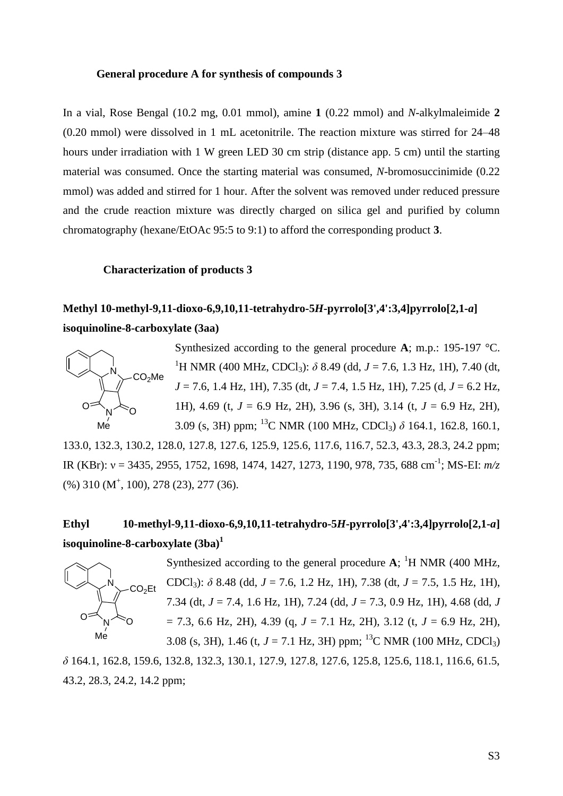#### **General procedure A for synthesis of compounds 3**

In a vial, Rose Bengal (10.2 mg, 0.01 mmol), amine **1** (0.22 mmol) and *N*-alkylmaleimide **2** (0.20 mmol) were dissolved in 1 mL acetonitrile. The reaction mixture was stirred for 24–48 hours under irradiation with 1 W green LED 30 cm strip (distance app. 5 cm) until the starting material was consumed. Once the starting material was consumed, *N*-bromosuccinimide (0.22 mmol) was added and stirred for 1 hour. After the solvent was removed under reduced pressure and the crude reaction mixture was directly charged on silica gel and purified by column chromatography (hexane/EtOAc 95:5 to 9:1) to afford the corresponding product **3**.

#### **Characterization of products 3**

### **Methyl 10-methyl-9,11-dioxo-6,9,10,11-tetrahydro-5***H***-pyrrolo[3',4':3,4]pyrrolo[2,1-***a***] isoquinoline-8-carboxylate (3aa)**



Synthesized according to the general procedure **A**; m.p.: 195-197 °C. <sup>1</sup>H NMR (400 MHz, CDCl<sub>3</sub>):  $\delta$  8.49 (dd, *J* = 7.6, 1.3 Hz, 1H), 7.40 (dt, *J* = 7.6, 1.4 Hz, 1H), 7.35 (dt, *J* = 7.4, 1.5 Hz, 1H), 7.25 (d, *J* = 6.2 Hz, 1H), 4.69 (t, *J* = 6.9 Hz, 2H), 3.96 (s, 3H), 3.14 (t, *J* = 6.9 Hz, 2H), 3.09 (s, 3H) ppm; <sup>13</sup>C NMR (100 MHz, CDCl3) *δ* 164.1, 162.8, 160.1,

133.0, 132.3, 130.2, 128.0, 127.8, 127.6, 125.9, 125.6, 117.6, 116.7, 52.3, 43.3, 28.3, 24.2 ppm; IR (KBr): v = 3435, 2955, 1752, 1698, 1474, 1427, 1273, 1190, 978, 735, 688 cm<sup>-1</sup>; MS-EI: *m/z* (%) 310 (M<sup>+</sup>, 100), 278 (23), 277 (36).

# **Ethyl 10-methyl-9,11-dioxo-6,9,10,11-tetrahydro-5***H***-pyrrolo[3',4':3,4]pyrrolo[2,1-***a***] isoquinoline-8-carboxylate (3ba)<sup>1</sup>**



Synthesized according to the general procedure  $A$ ; <sup>1</sup>H NMR (400 MHz, CDCl3): *δ* 8.48 (dd, *J* = 7.6, 1.2 Hz, 1H), 7.38 (dt, *J* = 7.5, 1.5 Hz, 1H), 7.34 (dt, *J* = 7.4, 1.6 Hz, 1H), 7.24 (dd, *J* = 7.3, 0.9 Hz, 1H), 4.68 (dd, *J* = 7.3, 6.6 Hz, 2H), 4.39 (q, *J* = 7.1 Hz, 2H), 3.12 (t, *J* = 6.9 Hz, 2H), 3.08 (s, 3H), 1.46 (t,  $J = 7.1$  Hz, 3H) ppm; <sup>13</sup>C NMR (100 MHz, CDCl<sub>3</sub>)

*δ* 164.1, 162.8, 159.6, 132.8, 132.3, 130.1, 127.9, 127.8, 127.6, 125.8, 125.6, 118.1, 116.6, 61.5, 43.2, 28.3, 24.2, 14.2 ppm;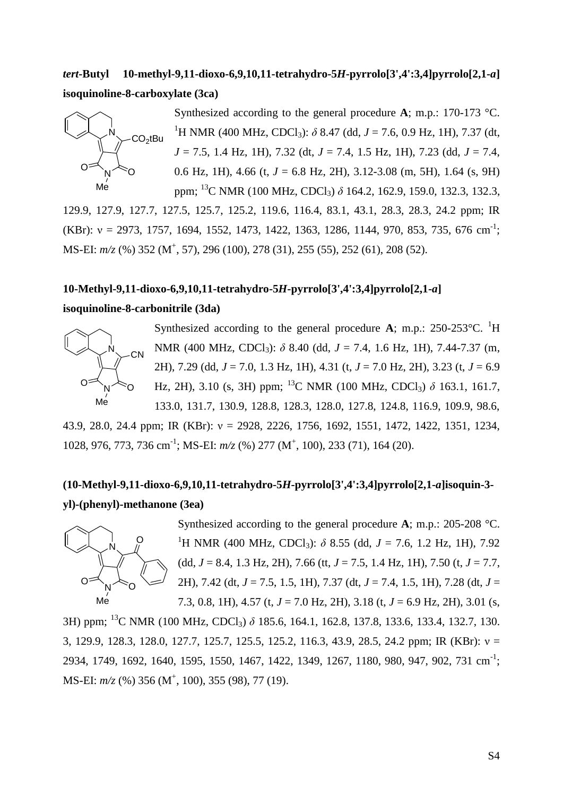## *tert***-Butyl 10-methyl-9,11-dioxo-6,9,10,11-tetrahydro-5***H***-pyrrolo[3',4':3,4]pyrrolo[2,1-***a***] isoquinoline-8-carboxylate (3ca)**



Synthesized according to the general procedure **A**; m.p.: 170-173 °C. <sup>1</sup>H NMR (400 MHz, CDCl<sub>3</sub>):  $\delta$  8.47 (dd, *J* = 7.6, 0.9 Hz, 1H), 7.37 (dt, *J* = 7.5, 1.4 Hz, 1H), 7.32 (dt, *J* = 7.4, 1.5 Hz, 1H), 7.23 (dd, *J* = 7.4, 0.6 Hz, 1H), 4.66 (t,  $J = 6.8$  Hz, 2H), 3.12-3.08 (m, 5H), 1.64 (s, 9H) ppm; <sup>13</sup>C NMR (100 MHz, CDCl<sub>3</sub>) δ 164.2, 162.9, 159.0, 132.3, 132.3,

129.9, 127.9, 127.7, 127.5, 125.7, 125.2, 119.6, 116.4, 83.1, 43.1, 28.3, 28.3, 24.2 ppm; IR (KBr):  $v = 2973$ , 1757, 1694, 1552, 1473, 1422, 1363, 1286, 1144, 970, 853, 735, 676 cm<sup>-1</sup>; MS-EI:  $m/z$  (%) 352 (M<sup>+</sup>, 57), 296 (100), 278 (31), 255 (55), 252 (61), 208 (52).

# **10-Methyl-9,11-dioxo-6,9,10,11-tetrahydro-5***H***-pyrrolo[3',4':3,4]pyrrolo[2,1-***a***]**

#### **isoquinoline-8-carbonitrile (3da)**



Synthesized according to the general procedure A; m.p.:  $250-253$ °C. <sup>1</sup>H NMR (400 MHz, CDCl<sub>3</sub>): *δ* 8.40 (dd, *J* = 7.4, 1.6 Hz, 1H), 7.44-7.37 (m, 2H), 7.29 (dd, *J* = 7.0, 1.3 Hz, 1H), 4.31 (t, *J* = 7.0 Hz, 2H), 3.23 (t, *J* = 6.9 Hz, 2H), 3.10 (s, 3H) ppm; <sup>13</sup>C NMR (100 MHz, CDCl<sub>3</sub>)  $\delta$  163.1, 161.7, 133.0, 131.7, 130.9, 128.8, 128.3, 128.0, 127.8, 124.8, 116.9, 109.9, 98.6,

43.9, 28.0, 24.4 ppm; IR (KBr): ν = 2928, 2226, 1756, 1692, 1551, 1472, 1422, 1351, 1234, 1028, 976, 773, 736 cm<sup>-1</sup>; MS-EI:  $m/z$  (%) 277 (M<sup>+</sup>, 100), 233 (71), 164 (20).

## **(10-Methyl-9,11-dioxo-6,9,10,11-tetrahydro-5***H***-pyrrolo[3',4':3,4]pyrrolo[2,1-***a***]isoquin-3 yl)-(phenyl)-methanone (3ea)**



Synthesized according to the general procedure **A**; m.p.: 205-208 °C. <sup>1</sup>H NMR (400 MHz, CDCl<sub>3</sub>):  $\delta$  8.55 (dd, *J* = 7.6, 1.2 Hz, 1H), 7.92 (dd, *J* = 8.4, 1.3 Hz, 2H), 7.66 (tt, *J* = 7.5, 1.4 Hz, 1H), 7.50 (t, *J* = 7.7, 2H), 7.42 (dt, *J* = 7.5, 1.5, 1H), 7.37 (dt, *J* = 7.4, 1.5, 1H), 7.28 (dt, *J* = 7.3, 0.8, 1H), 4.57 (t, *J* = 7.0 Hz, 2H), 3.18 (t, *J* = 6.9 Hz, 2H), 3.01 (s,

3H) ppm; <sup>13</sup>C NMR (100 MHz, CDCl3) *δ* 185.6, 164.1, 162.8, 137.8, 133.6, 133.4, 132.7, 130. 3, 129.9, 128.3, 128.0, 127.7, 125.7, 125.5, 125.2, 116.3, 43.9, 28.5, 24.2 ppm; IR (KBr): ν = 2934, 1749, 1692, 1640, 1595, 1550, 1467, 1422, 1349, 1267, 1180, 980, 947, 902, 731 cm<sup>-1</sup>; MS-EI:  $m/z$  (%) 356 (M<sup>+</sup>, 100), 355 (98), 77 (19).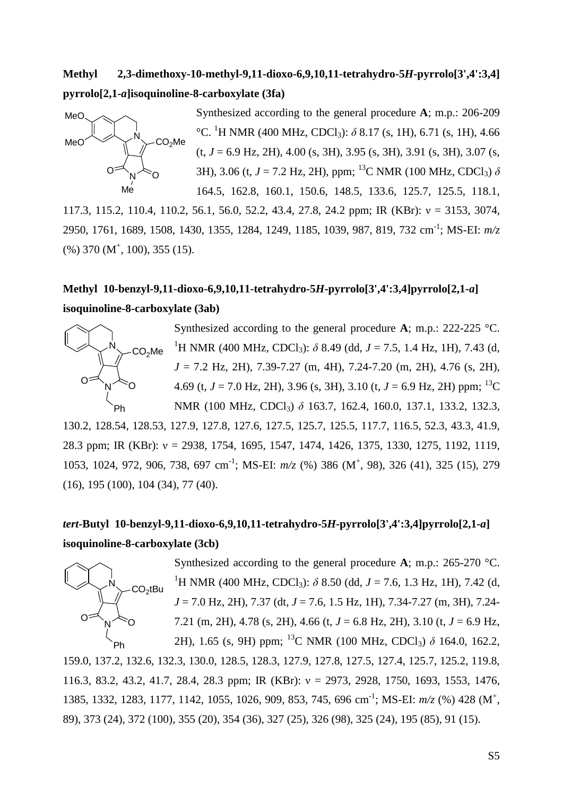### **Methyl 2,3-dimethoxy-10-methyl-9,11-dioxo-6,9,10,11-tetrahydro-5***H***-pyrrolo[3',4':3,4] pyrrolo[2,1-***a***]isoquinoline-8-carboxylate (3fa)**



Synthesized according to the general procedure **A**; m.p.: 206-209 °C. <sup>1</sup>H NMR (400 MHz, CDCl<sub>3</sub>):  $\delta$  8.17 (s, 1H), 6.71 (s, 1H), 4.66  $(t, J = 6.9 \text{ Hz}, 2H)$ , 4.00 (s, 3H), 3.95 (s, 3H), 3.91 (s, 3H), 3.07 (s, 3H), 3.06 (t,  $J = 7.2$  Hz, 2H), ppm; <sup>13</sup>C NMR (100 MHz, CDCl<sub>3</sub>)  $\delta$ 164.5, 162.8, 160.1, 150.6, 148.5, 133.6, 125.7, 125.5, 118.1,

117.3, 115.2, 110.4, 110.2, 56.1, 56.0, 52.2, 43.4, 27.8, 24.2 ppm; IR (KBr): ν = 3153, 3074, 2950, 1761, 1689, 1508, 1430, 1355, 1284, 1249, 1185, 1039, 987, 819, 732 cm-1 ; MS-EI: *m/z*  $(\%)$  370 (M<sup>+</sup>, 100), 355 (15).

# **Methyl 10-benzyl-9,11-dioxo-6,9,10,11-tetrahydro-5***H***-pyrrolo[3',4':3,4]pyrrolo[2,1-***a***] isoquinoline-8-carboxylate (3ab)**



Synthesized according to the general procedure **A**; m.p.: 222-225 °C. <sup>1</sup>H NMR (400 MHz, CDCl<sub>3</sub>):  $\delta$  8.49 (dd, *J* = 7.5, 1.4 Hz, 1H), 7.43 (d, *J* = 7.2 Hz, 2H), 7.39-7.27 (m, 4H), 7.24-7.20 (m, 2H), 4.76 (s, 2H), 4.69 (t,  $J = 7.0$  Hz, 2H), 3.96 (s, 3H), 3.10 (t,  $J = 6.9$  Hz, 2H) ppm; <sup>13</sup>C NMR (100 MHz, CDCl<sub>3</sub>) δ 163.7, 162.4, 160.0, 137.1, 133.2, 132.3,

130.2, 128.54, 128.53, 127.9, 127.8, 127.6, 127.5, 125.7, 125.5, 117.7, 116.5, 52.3, 43.3, 41.9, 28.3 ppm; IR (KBr): ν = 2938, 1754, 1695, 1547, 1474, 1426, 1375, 1330, 1275, 1192, 1119, 1053, 1024, 972, 906, 738, 697 cm<sup>-1</sup>; MS-EI:  $m/z$  (%) 386 (M<sup>+</sup>, 98), 326 (41), 325 (15), 279 (16), 195 (100), 104 (34), 77 (40).

# *tert***-Butyl 10-benzyl-9,11-dioxo-6,9,10,11-tetrahydro-5***H***-pyrrolo[3',4':3,4]pyrrolo[2,1-***a***] isoquinoline-8-carboxylate (3cb)**



Synthesized according to the general procedure **A**; m.p.: 265-270 °C. <sup>1</sup>H NMR (400 MHz, CDCl<sub>3</sub>):  $\delta$  8.50 (dd, *J* = 7.6, 1.3 Hz, 1H), 7.42 (d, *J* = 7.0 Hz, 2H), 7.37 (dt, *J* = 7.6, 1.5 Hz, 1H), 7.34-7.27 (m, 3H), 7.24- 7.21 (m, 2H), 4.78 (s, 2H), 4.66 (t, *J* = 6.8 Hz, 2H), 3.10 (t, *J* = 6.9 Hz, 2H), 1.65 (s, 9H) ppm; <sup>13</sup>C NMR (100 MHz, CDCl3) *δ* 164.0, 162.2,

159.0, 137.2, 132.6, 132.3, 130.0, 128.5, 128.3, 127.9, 127.8, 127.5, 127.4, 125.7, 125.2, 119.8, 116.3, 83.2, 43.2, 41.7, 28.4, 28.3 ppm; IR (KBr): ν = 2973, 2928, 1750, 1693, 1553, 1476, 1385, 1332, 1283, 1177, 1142, 1055, 1026, 909, 853, 745, 696 cm<sup>-1</sup>; MS-EI:  $m/z$  (%) 428 (M<sup>+</sup>, 89), 373 (24), 372 (100), 355 (20), 354 (36), 327 (25), 326 (98), 325 (24), 195 (85), 91 (15).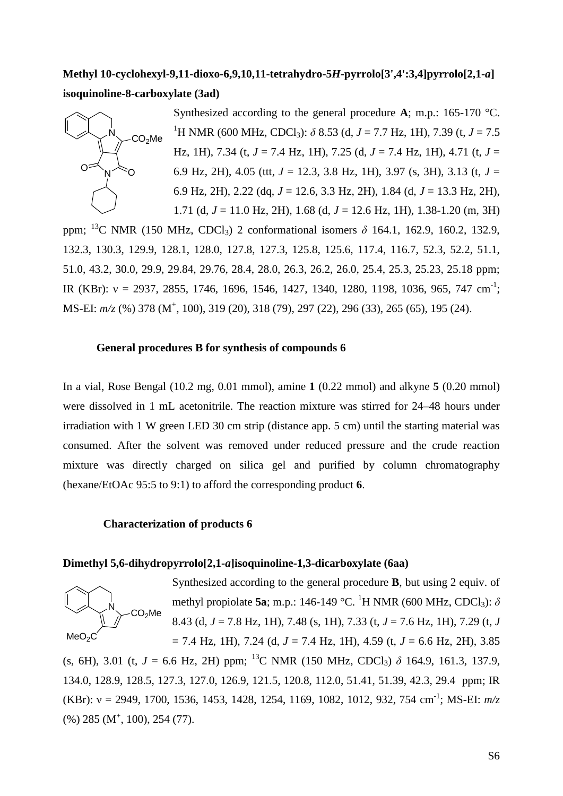### **Methyl 10-cyclohexyl-9,11-dioxo-6,9,10,11-tetrahydro-5***H***-pyrrolo[3',4':3,4]pyrrolo[2,1-***a***] isoquinoline-8-carboxylate (3ad)**



ppm; <sup>13</sup>C NMR (150 MHz, CDCl<sub>3</sub>) 2 conformational isomers  $\delta$  164.1, 162.9, 160.2, 132.9, 132.3, 130.3, 129.9, 128.1, 128.0, 127.8, 127.3, 125.8, 125.6, 117.4, 116.7, 52.3, 52.2, 51.1, 51.0, 43.2, 30.0, 29.9, 29.84, 29.76, 28.4, 28.0, 26.3, 26.2, 26.0, 25.4, 25.3, 25.23, 25.18 ppm; IR (KBr):  $v = 2937, 2855, 1746, 1696, 1546, 1427, 1340, 1280, 1198, 1036, 965, 747$  cm<sup>-1</sup>; MS-EI:  $m/z$  (%) 378 (M<sup>+</sup>, 100), 319 (20), 318 (79), 297 (22), 296 (33), 265 (65), 195 (24).

#### **General procedures B for synthesis of compounds 6**

In a vial, Rose Bengal (10.2 mg, 0.01 mmol), amine **1** (0.22 mmol) and alkyne **5** (0.20 mmol) were dissolved in 1 mL acetonitrile. The reaction mixture was stirred for 24–48 hours under irradiation with 1 W green LED 30 cm strip (distance app. 5 cm) until the starting material was consumed. After the solvent was removed under reduced pressure and the crude reaction mixture was directly charged on silica gel and purified by column chromatography (hexane/EtOAc 95:5 to 9:1) to afford the corresponding product **6**.

#### **Characterization of products 6**

#### **Dimethyl 5,6-dihydropyrrolo[2,1-***a***]isoquinoline-1,3-dicarboxylate (6aa)**



Synthesized according to the general procedure **B**, but using 2 equiv. of methyl propiolate **5a**; m.p.: 146-149 °C. <sup>1</sup>H NMR (600 MHz, CDCl<sub>3</sub>):  $\delta$ 8.43 (d, *J* = 7.8 Hz, 1H), 7.48 (s, 1H), 7.33 (t, *J* = 7.6 Hz, 1H), 7.29 (t, *J*  $= 7.4$  Hz, 1H), 7.24 (d,  $J = 7.4$  Hz, 1H), 4.59 (t,  $J = 6.6$  Hz, 2H), 3.85

(s, 6H), 3.01 (t,  $J = 6.6$  Hz, 2H) ppm; <sup>13</sup>C NMR (150 MHz, CDCl<sub>3</sub>)  $\delta$  164.9, 161.3, 137.9, 134.0, 128.9, 128.5, 127.3, 127.0, 126.9, 121.5, 120.8, 112.0, 51.41, 51.39, 42.3, 29.4 ppm; IR (KBr): ν = 2949, 1700, 1536, 1453, 1428, 1254, 1169, 1082, 1012, 932, 754 cm-1 ; MS-EI: *m/z* (%) 285 (M<sup>+</sup>, 100), 254 (77).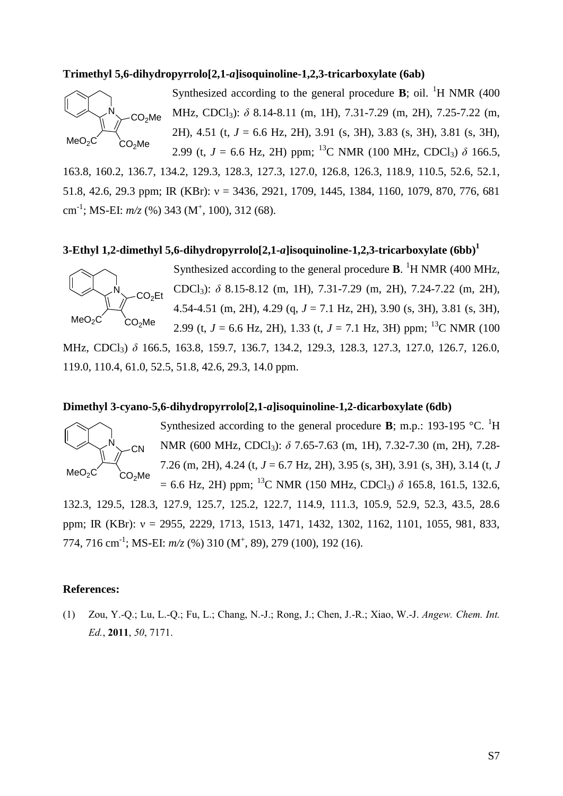#### **Trimethyl 5,6-dihydropyrrolo[2,1-***a***]isoquinoline-1,2,3-tricarboxylate (6ab)**



Synthesized according to the general procedure **B**; oil. <sup>1</sup>H NMR (400) MHz, CDCl3): *δ* 8.14-8.11 (m, 1H), 7.31-7.29 (m, 2H), 7.25-7.22 (m, 2H), 4.51 (t, *J* = 6.6 Hz, 2H), 3.91 (s, 3H), 3.83 (s, 3H), 3.81 (s, 3H), 2.99 (t,  $J = 6.6$  Hz, 2H) ppm; <sup>13</sup>C NMR (100 MHz, CDCl<sub>3</sub>)  $\delta$  166.5,

163.8, 160.2, 136.7, 134.2, 129.3, 128.3, 127.3, 127.0, 126.8, 126.3, 118.9, 110.5, 52.6, 52.1, 51.8, 42.6, 29.3 ppm; IR (KBr): ν = 3436, 2921, 1709, 1445, 1384, 1160, 1079, 870, 776, 681 cm<sup>-1</sup>; MS-EI:  $m/z$  (%) 343 (M<sup>+</sup>, 100), 312 (68).

#### **3-Ethyl 1,2-dimethyl 5,6-dihydropyrrolo[2,1-***a***]isoquinoline-1,2,3-tricarboxylate (6bb)<sup>1</sup>**



Synthesized according to the general procedure **B**. <sup>1</sup>H NMR (400 MHz, CDCl3): *δ* 8.15-8.12 (m, 1H), 7.31-7.29 (m, 2H), 7.24-7.22 (m, 2H), 4.54-4.51 (m, 2H), 4.29 (q, *J* = 7.1 Hz, 2H), 3.90 (s, 3H), 3.81 (s, 3H), 2.99 (t,  $J = 6.6$  Hz, 2H), 1.33 (t,  $J = 7.1$  Hz, 3H) ppm; <sup>13</sup>C NMR (100)

MHz, CDCl<sub>3</sub>) δ 166.5, 163.8, 159.7, 136.7, 134.2, 129.3, 128.3, 127.3, 127.0, 126.7, 126.0, 119.0, 110.4, 61.0, 52.5, 51.8, 42.6, 29.3, 14.0 ppm.

#### **Dimethyl 3-cyano-5,6-dihydropyrrolo[2,1-***a***]isoquinoline-1,2-dicarboxylate (6db)**



Synthesized according to the general procedure **B**; m.p.: 193-195  $^{\circ}$ C. <sup>1</sup>H NMR (600 MHz, CDCl<sub>3</sub>): δ 7.65-7.63 (m, 1H), 7.32-7.30 (m, 2H), 7.28-7.26 (m, 2H), 4.24 (t, *J* = 6.7 Hz, 2H), 3.95 (s, 3H), 3.91 (s, 3H), 3.14 (t, *J*  $= 6.6$  Hz, 2H) ppm; <sup>13</sup>C NMR (150 MHz, CDCl<sub>3</sub>)  $\delta$  165.8, 161.5, 132.6,

132.3, 129.5, 128.3, 127.9, 125.7, 125.2, 122.7, 114.9, 111.3, 105.9, 52.9, 52.3, 43.5, 28.6 ppm; IR (KBr): ν = 2955, 2229, 1713, 1513, 1471, 1432, 1302, 1162, 1101, 1055, 981, 833, 774, 716 cm<sup>-1</sup>; MS-EI:  $m/z$  (%) 310 (M<sup>+</sup>, 89), 279 (100), 192 (16).

#### **References:**

(1) Zou, Y.-Q.; Lu, L.-Q.; Fu, L.; Chang, N.-J.; Rong, J.; Chen, J.-R.; Xiao, W.-J. *Angew. Chem. Int. Ed.*, **2011**, *50*, 7171.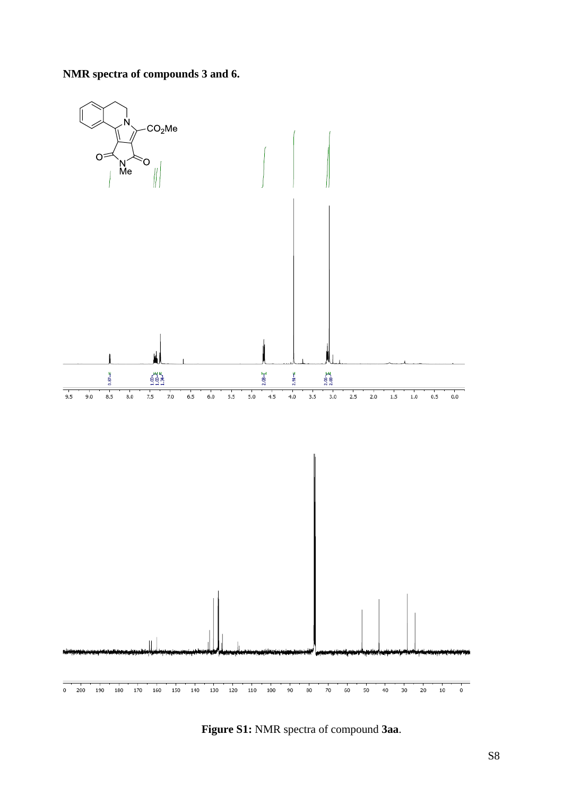### **NMR spectra of compounds 3 and 6.**



**Figure S1:** NMR spectra of compound **3aa**.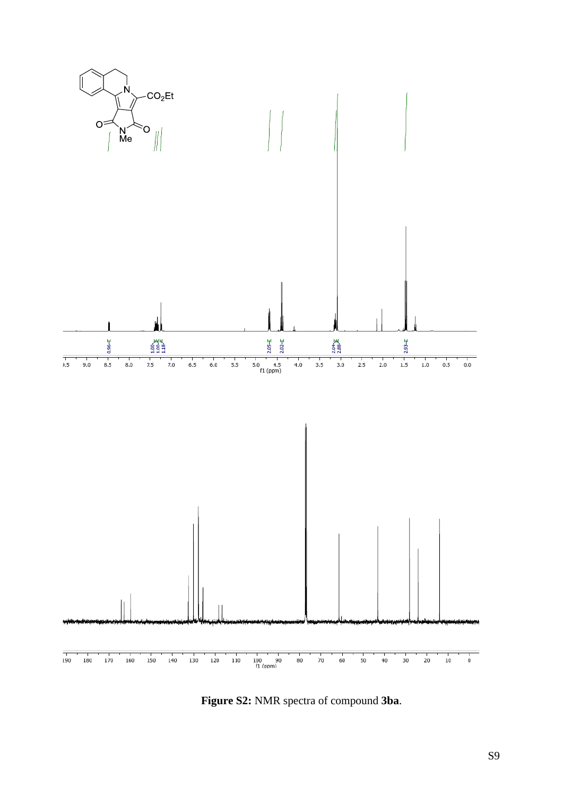

Figure S2: NMR spectra of compound 3ba.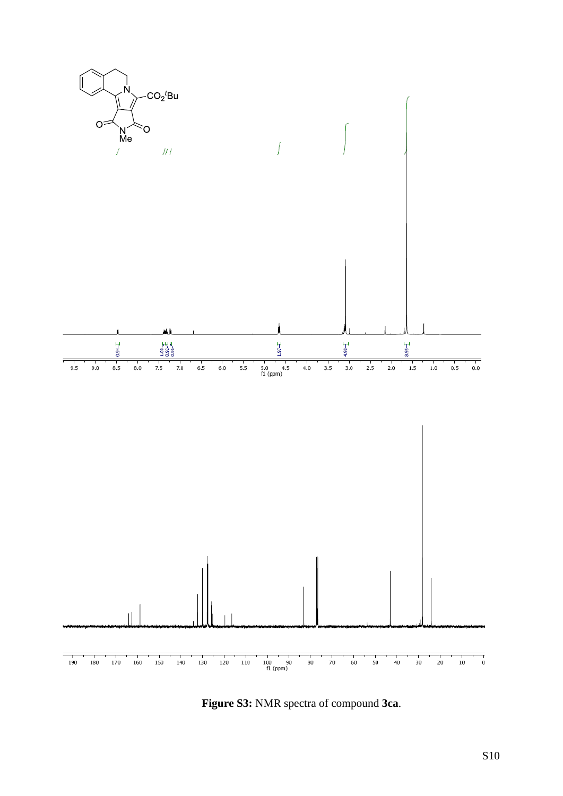

Figure S3: NMR spectra of compound 3ca.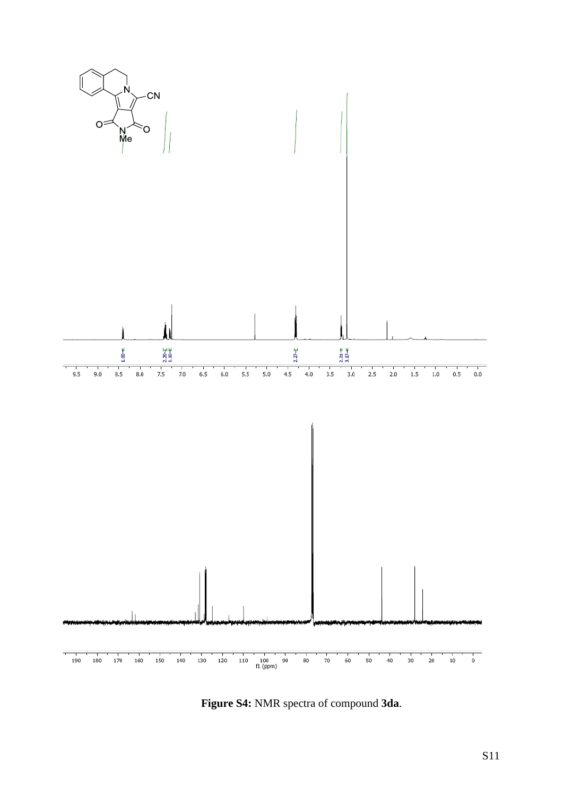

**Figure S4:** NMR spectra of compound **3da**.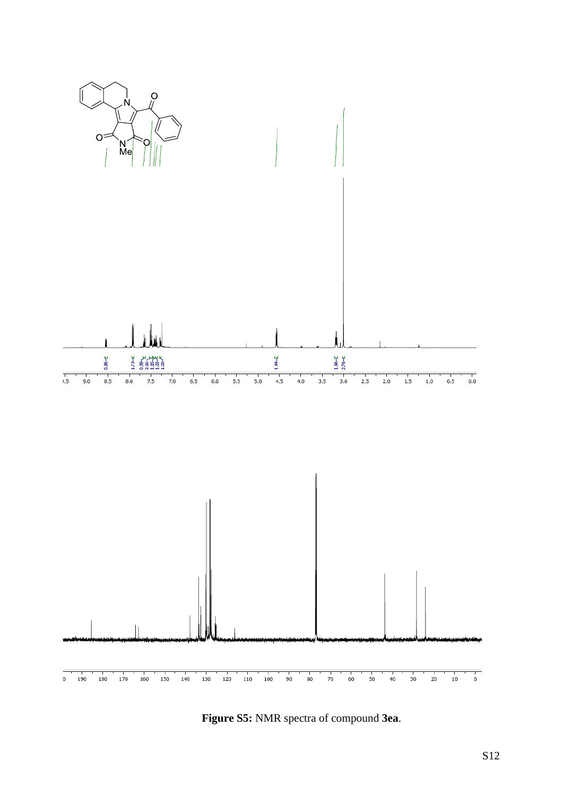

Figure S5: NMR spectra of compound 3ea.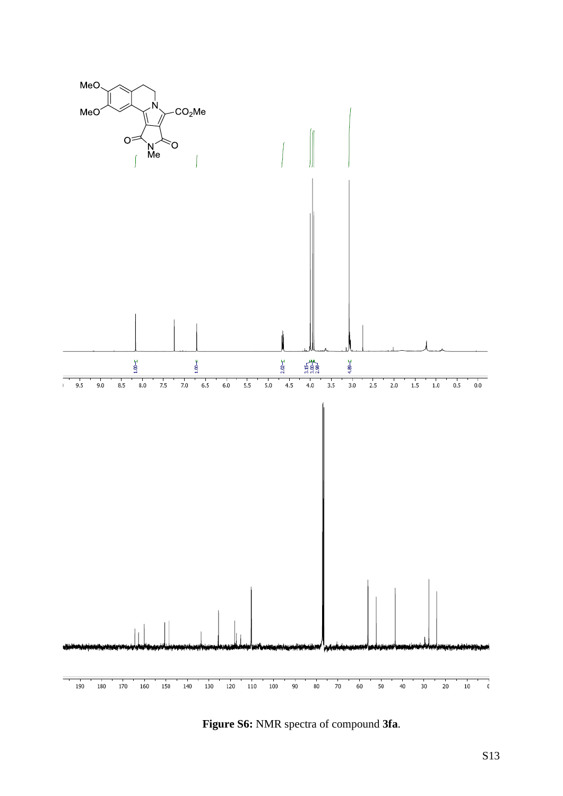

**Figure S6:** NMR spectra of compound **3fa**.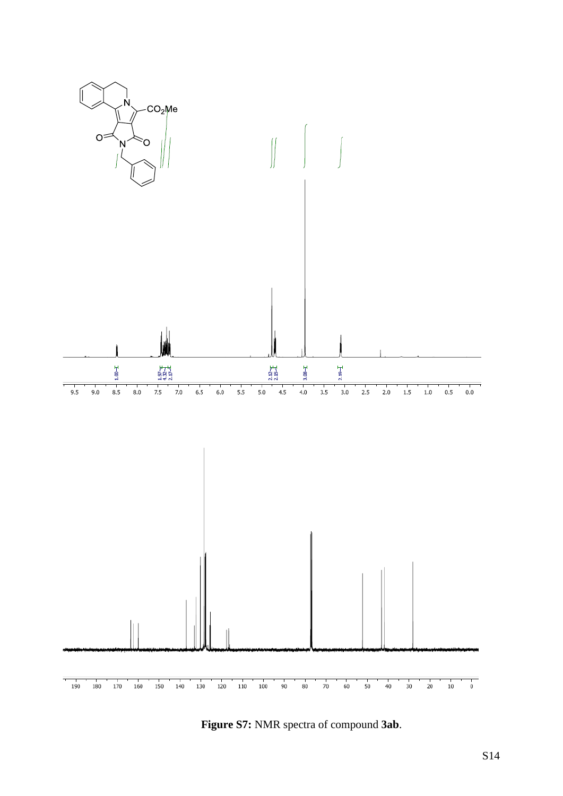

**Figure S7:** NMR spectra of compound **3ab**.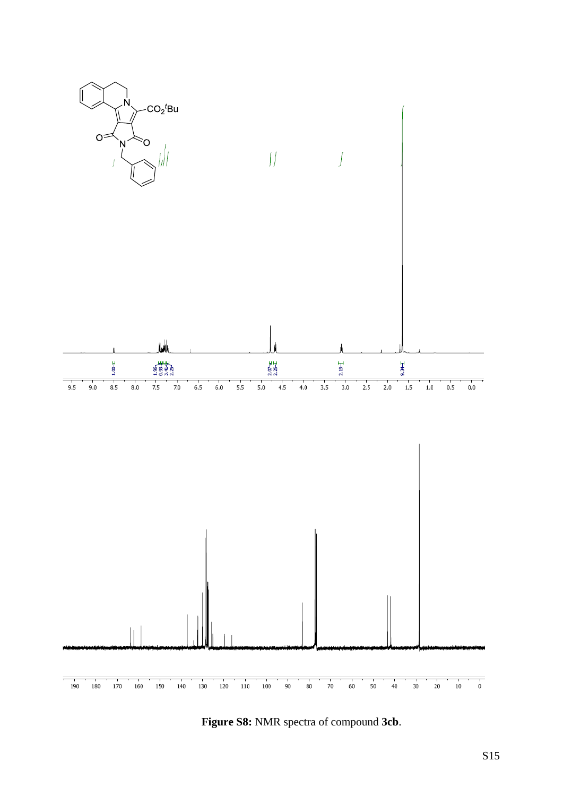

**Figure S8:** NMR spectra of compound **3cb**.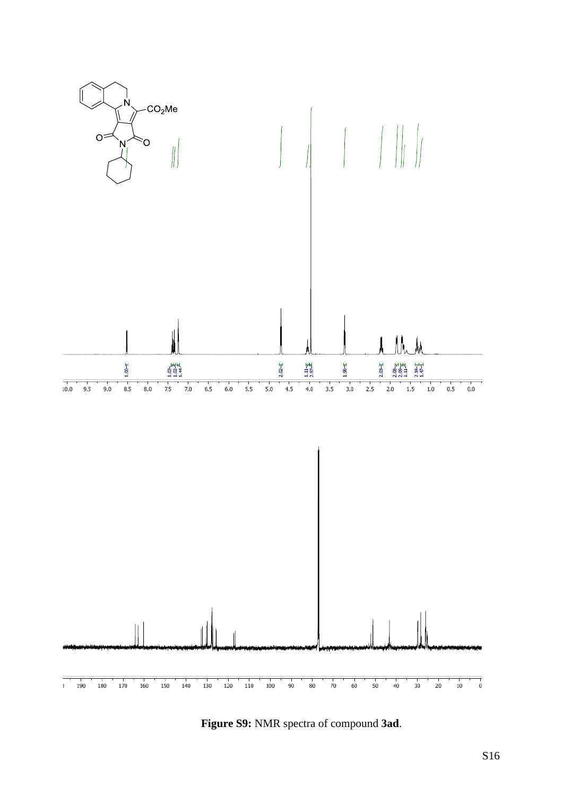

**Figure S9:** NMR spectra of compound **3ad**.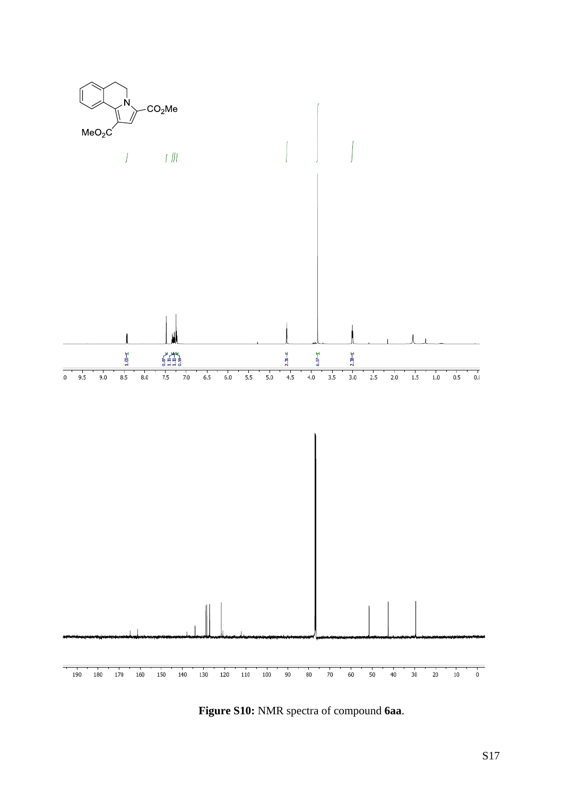

Figure S10: NMR spectra of compound 6aa.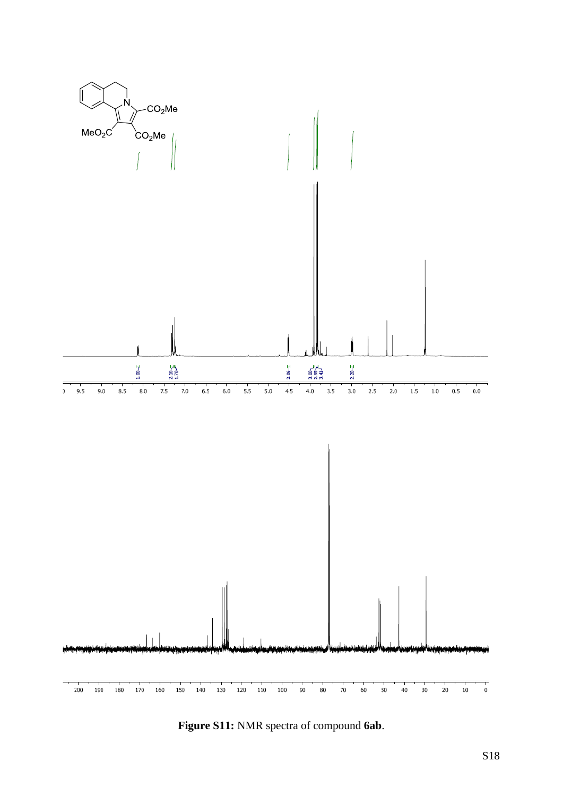

Figure S11: NMR spectra of compound 6ab.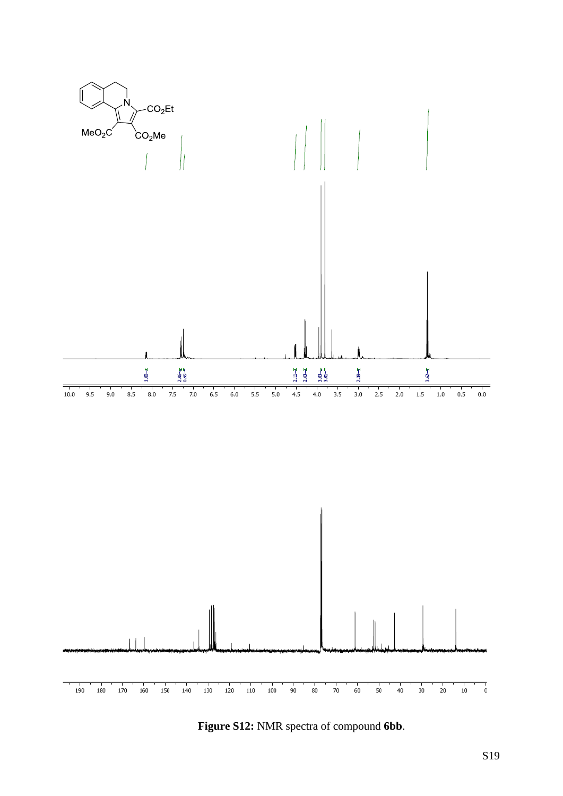

**Figure S12:** NMR spectra of compound **6bb**.